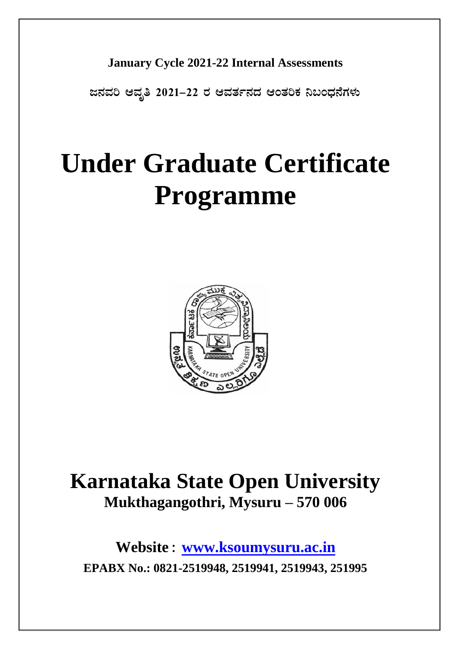## **January Cycle 2021-22 Internal Assessments**

**d£ÀªÀj DªÀÈw 2021-22 gÀ DªÀvÀð£ÀzÀ DAvÀjPÀ ¤§AzsÀ£ÉUÀ¼ÀÄ**

# **Under Graduate Certificate Programme**



# **Karnataka State Open University Mukthagangothri, Mysuru – 570 006**

**Website : [www.ksoumysuru.ac.in](http://www.ksoumysuru.ac.in/) EPABX No.: 0821-2519948, 2519941, 2519943, 251995**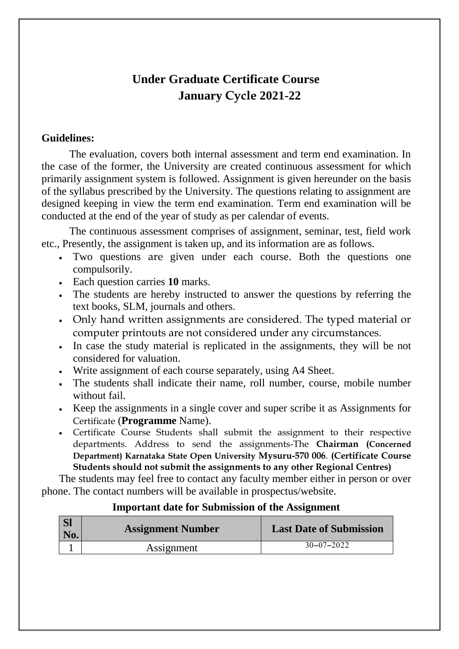# **Under Graduate Certificate Course January Cycle 2021-22**

#### **Guidelines:**

The evaluation, covers both internal assessment and term end examination. In the case of the former, the University are created continuous assessment for which primarily assignment system is followed. Assignment is given hereunder on the basis of the syllabus prescribed by the University. The questions relating to assignment are designed keeping in view the term end examination. Term end examination will be conducted at the end of the year of study as per calendar of events.

The continuous assessment comprises of assignment, seminar, test, field work etc., Presently, the assignment is taken up, and its information are as follows.

- Two questions are given under each course. Both the questions one compulsorily.
- Each question carries **10** marks.
- The students are hereby instructed to answer the questions by referring the text books, SLM, journals and others.
- Only hand written assignments are considered. The typed material or computer printouts are not considered under any circumstances.
- In case the study material is replicated in the assignments, they will be not considered for valuation.
- Write assignment of each course separately, using A4 Sheet.
- The students shall indicate their name, roll number, course, mobile number without fail.
- Keep the assignments in a single cover and super scribe it as Assignments for Certificate (**Programme** Name).
- Certificate Course Students shall submit the assignment to their respective departments. Address to send the assignments-The **Chairman (Concerned Department) Karnataka State Open University Mysuru-570 006**. **(Certificate Course Students should not submit the assignments to any other Regional Centres)**

The students may feel free to contact any faculty member either in person or over phone. The contact numbers will be available in prospectus/website.

#### **Important date for Submission of the Assignment**

| <b>SI</b><br>No. | <b>Assignment Number</b> | <b>Last Date of Submission</b> |
|------------------|--------------------------|--------------------------------|
|                  | Assignment               | $30 - 07 - 2022$               |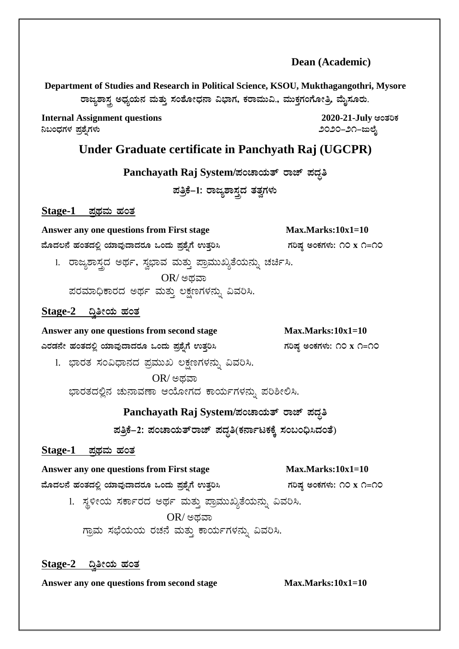#### **Dean (Academic)**

**Department of Studies and Research in Political Science, KSOU, Mukthagangothri, Mysore** ರಾಜ್ಯಶಾಸ್ತ್ರ ಅಧ್ಯಯನ ಮತ್ತು ಸಂಶೋಧನಾ ವಿಭಾಗ, ಕರಾಮುವಿ., ಮುಕ್ತಗಂಗೋತ್ರಿ, ಮೈಸೂರು.

**Internal Assignment questions 2020-21-July example 2020-21-July ¤§AzsÀUÀ¼À ¥Àæ±ÉßUÀ¼ÀÄ 2020-21-dįÉÊ**

#### **Under Graduate certificate in Panchyath Raj (UGCPR)**

**Panchayath Raj System/ಪಂಚಾಯತ್ ರಾಜ್ ಪದ್ಧತಿ** 

ಹತ್ರಿಕೆ–1: ರಾಜ್ಯಶಾಸ್ತ್ರದ ತತ್ವಗಳು

**Stage-1 ¥ÀæxÀªÀÄ ºÀAvÀ**

Answer any one questions from First stage Max.Marks:10x1=10

 $\frac{1}{2}$ ಹೆಂತದಲ್ಲಿ ಯಾವುದಾದರೂ ಒಂದು ಪ್ರಶ್ನೆಗೆ ಉತ್ತರಿಸಿ ಗರಿಷ್ಠ ಅಂಕಗಳು: ೧೦ x ೧=೧೦

1. ರಾಜ್ಯಶಾಸ್ತ್ರದ ಅರ್ಥ, ಸ್ವಭಾವ ಮತ್ತು ಪ್ರಾಮುಖ್ಯತೆಯನ್ನು ಚರ್ಚಿಸಿ.  $OR/$ ಅಥವಾ

ಪರಮಾಧಿಕಾರದ ಅರ್ಥ ಮತ್ತು ಲಕ್ಷಣಗಳನ್ನು ವಿವರಿಸಿ.

#### <u>Stage-2 ದ್ವಿತೀಯ ಹಂತ</u>

Answer any one questions from second stage Max.Marks:10x1=10

**JgÀqÀ£Éà ºÀAvÀzÀ°è AiÀiÁªÀÅzÁzÀgÀÆ MAzÀÄ ¥Àæ±ÉßUÉ GvÀÛj¹ UÀjµÀ× CAPÀUÀ¼ÀÄ: 10 x 1=10**

1. ಭಾರತ ಸಂವಿಧಾನದ ಪ್ರಮುಖ ಲಕ್ಷಣಗಳನ್ನು ವಿವರಿಸಿ.

 $OR/$ ಅಥವಾ ಭಾರತದಲ್ಲಿನ ಚುನಾವಣಾ ಆಯೋಗದ ಕಾರ್ಯಗಳನ್ನು ಪರಿಶೀಲಿಸಿ.

#### Panchayath Raj System/**ಪಂಚಾಯತ್ ರಾಜ್ ಪದ್ಧ**ತಿ

**¥ÀwæPÉ-2: ¥ÀAZÁAiÀÄvïgÁeï ¥ÀzÀÞw(PÀ£ÁðlPÀPÉÌ ¸ÀA§A¢ü¹zÀAvÉ)**

#### <u>Stage-1 ಪಥಮ ಹಂತ</u>

#### Answer any one questions from First stage Max.Marks:10x1=10

 $\frac{1}{2}$ ಹೊದಲಿ ಮಾವುದಾದರೂ ಒಂದು ಪ್ರಶ್ನೆಗೆ ಉತ್ತರಿಸಿ ತಾವರು ಮಾಡಿಷ್ಠ ಅಂಕಗಳು: ೧೦ x ೧=೧೦

1. ಸ್ಥಳೀಯ ಸರ್ಕಾರದ ಅರ್ಥ ಮತ್ತು ಪ್ರಾಮುಖ್ಯತೆಯನ್ನು ವಿವರಿಸಿ.  $OR/$ ಅಥವಾ

ಗ್ರಾಮ ಸಭೆಯಯ ರಚನೆ ಮತ್ತು ಕಾರ್ಯಗಳನ್ನು ವಿವರಿಸಿ.

#### <u>Stage-2 ದ್ರಿತೀಯ ಹಂತ</u>

Answer any one questions from second stage Max.Marks:10x1=10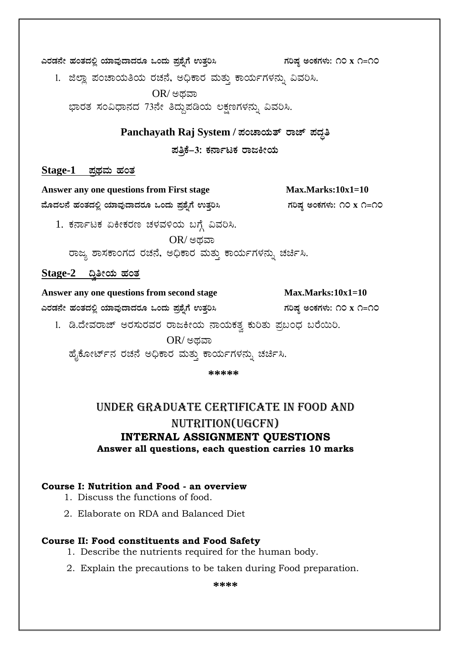ಎರಡನೇ ಹಂತದಲ್ಲಿ ಯಾವುದಾದರೂ ಒಂದು ಪ್ರಶ್ನೆಗೆ ಉತ್ತರಿಸಿ ಗರಿಷ್ಠ ಅಂಕಗಳು: ೧೦ x ೧=೧೦

1. ಜಿಲ್ಲಾ ಪಂಚಾಯತಿಯ ರಚನೆ, ಅಧಿಕಾರ ಮತ್ತು ಕಾರ್ಯಗಳನ್ನು ವಿವರಿಸಿ.

 $OR/$ ಅಥವಾ

ಭಾರತ ಸಂವಿಧಾನದ 73ನೇ ತಿದ್ದುಪಡಿಯ ಲಕ್ಷಣಗಳನ್ನು ವಿವರಿಸಿ.

#### Panchayath Raj System / ಪಂಚಾಯತ್ ರಾಜ್ ಪದ್ಧತಿ

ಪತ್ತಿಕೆ-3: ಕರ್ನಾಟಕ ರಾಜಕೀಯ

#### $Stage-1$  ಪಥಮ ಹಂತ

Answer any one questions from First stage  $Max. Marks:10x1=10$ ಮೊದಲನೆ ಹಂತದಲ್ಲಿ ಯಾವುದಾದರೂ ಒಂದು ಪ್ರಶ್ನೆಗೆ ಉತ್ತರಿಸಿ ಗರಿಷ್ಠ ಅಂಕಗಳು: ೧೦ x ೧=೧೦ 1. ಕರ್ನಾಟಕ ಏಕೀಕರಣ ಚಳವಳಿಯ ಬಗ್ಗೆ ವಿವರಿಸಿ.  $OR$ / ಅದವಾ ರಾಜ್ಯ ಶಾಸಕಾಂಗದ ರಚನೆ, ಅಧಿಕಾರ ಮತ್ತು ಕಾರ್ಯಗಳನ್ನು ಚರ್ಚಿಸಿ. Stage-2 ದ್ವಿತೀಯ ಹಂತ Answer any one questions from second stage  $Max.Marks:10x1=10$ ಎರಡನೇ ಹಂತದಲ್ಲಿ ಯಾವುದಾದರೂ ಒಂದು ಪ್ರಶೈಗೆ ಉತ್ತರಿಸಿ ಗರಿಷ ಅಂಕಗಳು: ೧೦ x ೧=೧೦ 1. ಡಿ.ದೇವರಾಜ್ ಅರಸುರವರ ರಾಜಕೀಯ ನಾಯಕತ್ವ ಕುರಿತು ಪ್ರಬಂಧ ಬರೆಯಿರಿ.  $OR/$ ಅಥವಾ

ಹೈಕೋರ್ಟ್ ನರಚನೆ ಅಧಿಕಾರ ಮತ್ತು ಕಾರ್ಯಗಳನ್ನು ಚರ್ಚಿಸಿ.

\*\*\*\*\*

### UNDER GRADUATE CERTIFICATE IN FOOD AND NUTRITION(UGCFN) **INTERNAL ASSIGNMENT QUESTIONS** Answer all questions, each question carries 10 marks

#### Course I: Nutrition and Food - an overview

- 1. Discuss the functions of food.
- 2. Elaborate on RDA and Balanced Diet

#### **Course II: Food constituents and Food Safety**

- 1. Describe the nutrients required for the human body.
- 2. Explain the precautions to be taken during Food preparation.

\*\*\*\*